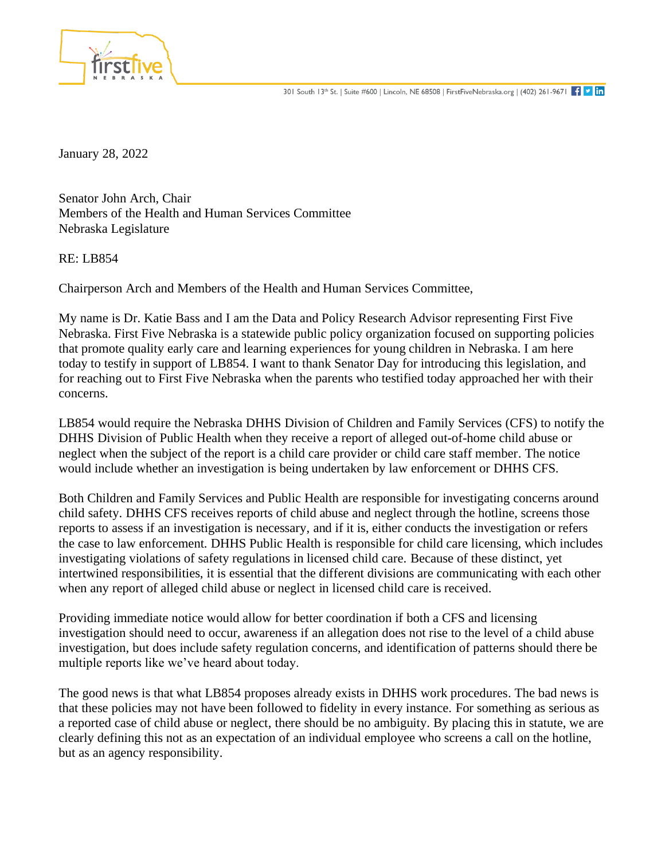

January 28, 2022

Senator John Arch, Chair Members of the Health and Human Services Committee Nebraska Legislature

RE: LB854

Chairperson Arch and Members of the Health and Human Services Committee,

My name is Dr. Katie Bass and I am the Data and Policy Research Advisor representing First Five Nebraska. First Five Nebraska is a statewide public policy organization focused on supporting policies that promote quality early care and learning experiences for young children in Nebraska. I am here today to testify in support of LB854. I want to thank Senator Day for introducing this legislation, and for reaching out to First Five Nebraska when the parents who testified today approached her with their concerns.

LB854 would require the Nebraska DHHS Division of Children and Family Services (CFS) to notify the DHHS Division of Public Health when they receive a report of alleged out-of-home child abuse or neglect when the subject of the report is a child care provider or child care staff member. The notice would include whether an investigation is being undertaken by law enforcement or DHHS CFS.

Both Children and Family Services and Public Health are responsible for investigating concerns around child safety. DHHS CFS receives reports of child abuse and neglect through the hotline, screens those reports to assess if an investigation is necessary, and if it is, either conducts the investigation or refers the case to law enforcement. DHHS Public Health is responsible for child care licensing, which includes investigating violations of safety regulations in licensed child care. Because of these distinct, yet intertwined responsibilities, it is essential that the different divisions are communicating with each other when any report of alleged child abuse or neglect in licensed child care is received.

Providing immediate notice would allow for better coordination if both a CFS and licensing investigation should need to occur, awareness if an allegation does not rise to the level of a child abuse investigation, but does include safety regulation concerns, and identification of patterns should there be multiple reports like we've heard about today.

The good news is that what LB854 proposes already exists in DHHS work procedures. The bad news is that these policies may not have been followed to fidelity in every instance. For something as serious as a reported case of child abuse or neglect, there should be no ambiguity. By placing this in statute, we are clearly defining this not as an expectation of an individual employee who screens a call on the hotline, but as an agency responsibility.